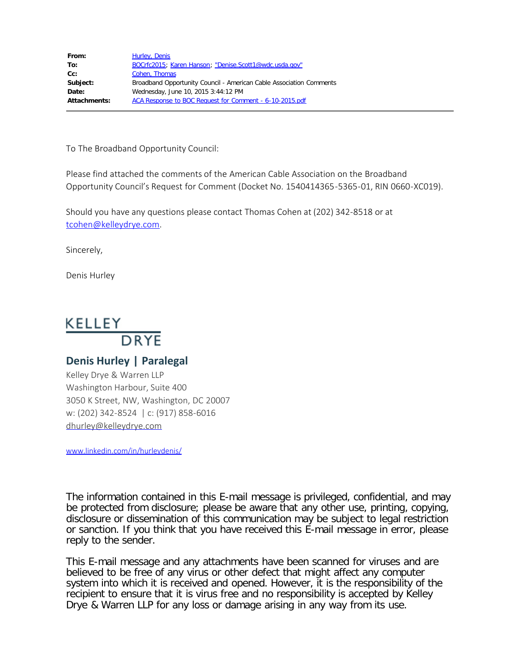| From:        | Hurley, Denis                                                       |
|--------------|---------------------------------------------------------------------|
| To:          | BOCrfc2015; Karen Hanson; "Denise.Scott1@wdc.usda.gov"              |
| Cc:          | Cohen, Thomas                                                       |
| Subject:     | Broadband Opportunity Council - American Cable Association Comments |
| Date:        | Wednesday, June 10, 2015 3:44:12 PM                                 |
| Attachments: | ACA Response to BOC Request for Comment - 6-10-2015.pdf             |

To The Broadband Opportunity Council:

Please find attached the comments of the American Cable Association on the Broadband Opportunity Council's Request for Comment (Docket No. 1540414365-5365-01, RIN 0660-XC019).

Should you have any questions please contact Thomas Cohen at (202) 342-8518 or at [tcohen@kelleydrye.com](mailto:tcohen@kelleydrye.com).

Sincerely,

Denis Hurley

# KELLEY DRYE

## **Denis Hurley | Paralegal**

Kelley Drye & Warren LLP Washington Harbour, Suite 400 3050 K Street, NW, Washington, DC 20007 w: (202) 342-8524 | c: (917) 858-6016 [dhurley@kelleydrye.com](mailto:dhurley@kelleydrye.com)

[www.linkedin.com/in/hurleydenis/](http://www.linkedin.com/in/hurleydenis/)

The information contained in this E-mail message is privileged, confidential, and may be protected from disclosure; please be aware that any other use, printing, copying, disclosure or dissemination of this communication may be subject to legal restriction or sanction. If you think that you have received this E-mail message in error, please reply to the sender.

This E-mail message and any attachments have been scanned for viruses and are believed to be free of any virus or other defect that might affect any computer system into which it is received and opened. However, it is the responsibility of the recipient to ensure that it is virus free and no responsibility is accepted by Kelley Drye & Warren LLP for any loss or damage arising in any way from its use.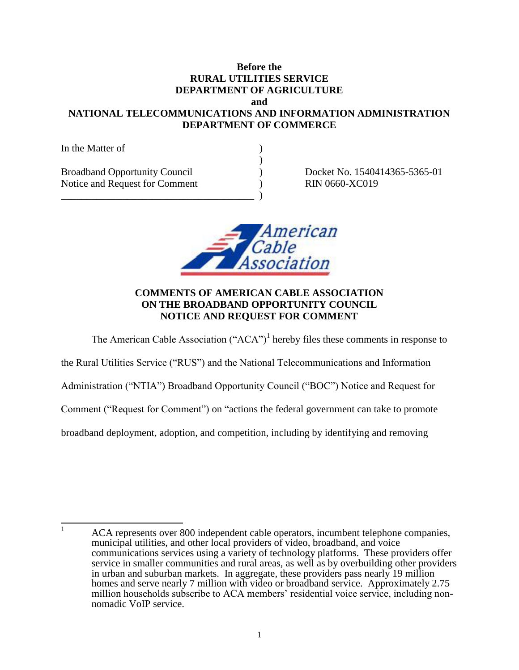#### **Before the RURAL UTILITIES SERVICE DEPARTMENT OF AGRICULTURE and**

## **NATIONAL TELECOMMUNICATIONS AND INFORMATION ADMINISTRATION DEPARTMENT OF COMMERCE**

| In the Matter of                                                       |  |
|------------------------------------------------------------------------|--|
| <b>Broadband Opportunity Council</b><br>Notice and Request for Comment |  |
|                                                                        |  |

Docket No. 1540414365-5365-01 RIN 0660-XC019



## **COMMENTS OF AMERICAN CABLE ASSOCIATION ON THE BROADBAND OPPORTUNITY COUNCIL NOTICE AND REQUEST FOR COMMENT**

The American Cable Association (" $ACA$ ")<sup>1</sup> hereby files these comments in response to

the Rural Utilities Service ("RUS") and the National Telecommunications and Information

Administration ("NTIA") Broadband Opportunity Council ("BOC") Notice and Request for

Comment ("Request for Comment") on "actions the federal government can take to promote

broadband deployment, adoption, and competition, including by identifying and removing

 $\mathbf{1}$ <sup>1</sup> ACA represents over 800 independent cable operators, incumbent telephone companies, municipal utilities, and other local providers of video, broadband, and voice communications services using a variety of technology platforms. These providers offer service in smaller communities and rural areas, as well as by overbuilding other providers in urban and suburban markets. In aggregate, these providers pass nearly 19 million homes and serve nearly 7 million with video or broadband service. Approximately 2.75 million households subscribe to ACA members' residential voice service, including nonnomadic VoIP service.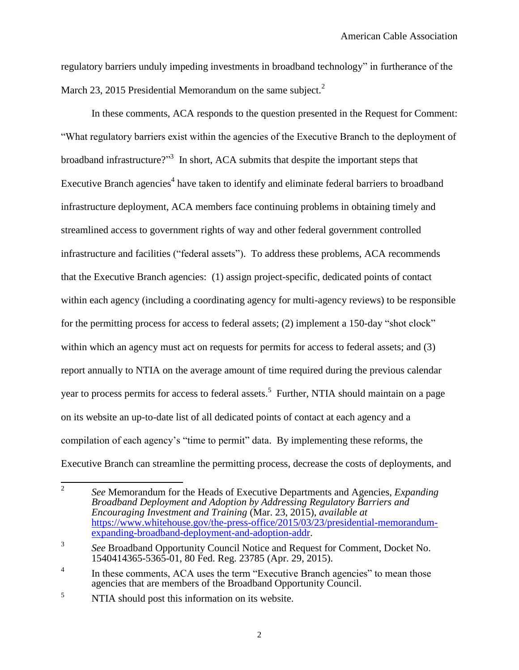regulatory barriers unduly impeding investments in broadband technology" in furtherance of the March 23, 2015 Presidential Memorandum on the same subject. $<sup>2</sup>$ </sup>

In these comments, ACA responds to the question presented in the Request for Comment: "What regulatory barriers exist within the agencies of the Executive Branch to the deployment of broadband infrastructure?"<sup>3</sup> In short, ACA submits that despite the important steps that Executive Branch agencies<sup>4</sup> have taken to identify and eliminate federal barriers to broadband infrastructure deployment, ACA members face continuing problems in obtaining timely and streamlined access to government rights of way and other federal government controlled infrastructure and facilities ("federal assets"). To address these problems, ACA recommends that the Executive Branch agencies: (1) assign project-specific, dedicated points of contact within each agency (including a coordinating agency for multi-agency reviews) to be responsible for the permitting process for access to federal assets; (2) implement a 150-day "shot clock" within which an agency must act on requests for permits for access to federal assets; and (3) report annually to NTIA on the average amount of time required during the previous calendar year to process permits for access to federal assets.<sup>5</sup> Further, NTIA should maintain on a page on its website an up-to-date list of all dedicated points of contact at each agency and a compilation of each agency's "time to permit" data. By implementing these reforms, the Executive Branch can streamline the permitting process, decrease the costs of deployments, and

 $\frac{1}{2}$ *See* Memorandum for the Heads of Executive Departments and Agencies, *Expanding Broadband Deployment and Adoption by Addressing Regulatory Barriers and Encouraging Investment and Training* (Mar. 23, 2015), *available at*  [https://www.whitehouse.gov/the-press-office/2015/03/23/presidential-memorandum](https://www.whitehouse.gov/the-press-office/2015/03/23/presidential-memorandum-expanding-broadband-deployment-and-adoption-addr)[expanding-broadband-deployment-and-adoption-addr.](https://www.whitehouse.gov/the-press-office/2015/03/23/presidential-memorandum-expanding-broadband-deployment-and-adoption-addr)

<sup>3</sup> *See* Broadband Opportunity Council Notice and Request for Comment, Docket No. 1540414365-5365-01, 80 Fed. Reg. 23785 (Apr. 29, 2015).

<sup>4</sup> In these comments, ACA uses the term "Executive Branch agencies" to mean those agencies that are members of the Broadband Opportunity Council.

<sup>&</sup>lt;sup>5</sup> NTIA should post this information on its website.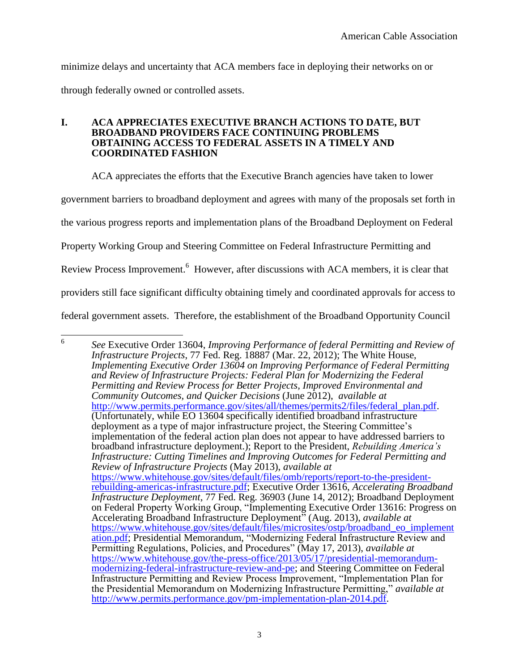minimize delays and uncertainty that ACA members face in deploying their networks on or through federally owned or controlled assets.

#### **I. ACA APPRECIATES EXECUTIVE BRANCH ACTIONS TO DATE, BUT BROADBAND PROVIDERS FACE CONTINUING PROBLEMS OBTAINING ACCESS TO FEDERAL ASSETS IN A TIMELY AND COORDINATED FASHION**

ACA appreciates the efforts that the Executive Branch agencies have taken to lower

government barriers to broadband deployment and agrees with many of the proposals set forth in

the various progress reports and implementation plans of the Broadband Deployment on Federal

Property Working Group and Steering Committee on Federal Infrastructure Permitting and

Review Process Improvement.<sup>6</sup> However, after discussions with ACA members, it is clear that

providers still face significant difficulty obtaining timely and coordinated approvals for access to

federal government assets. Therefore, the establishment of the Broadband Opportunity Council

 6 *See* Executive Order 13604, *Improving Performance of federal Permitting and Review of Infrastructure Projects*, 77 Fed. Reg. 18887 (Mar. 22, 2012); The White House, *Implementing Executive Order 13604 on Improving Performance of Federal Permitting and Review of Infrastructure Projects: Federal Plan for Modernizing the Federal Permitting and Review Process for Better Projects, Improved Environmental and Community Outcomes, and Quicker Decisions* (June 2012), *available at*  [http://www.permits.performance.gov/sites/all/themes/permits2/files/federal\\_plan.pdf.](http://www.permits.performance.gov/sites/all/themes/permits2/files/federal_plan.pdf) (Unfortunately, while EO 13604 specifically identified broadband infrastructure deployment as a type of major infrastructure project, the Steering Committee's implementation of the federal action plan does not appear to have addressed barriers to broadband infrastructure deployment.); Report to the President, *Rebuilding America's Infrastructure: Cutting Timelines and Improving Outcomes for Federal Permitting and Review of Infrastructure Projects* (May 2013), *available at*  [https://www.whitehouse.gov/sites/default/files/omb/reports/report-to-the-president](https://www.whitehouse.gov/sites/default/files/omb/reports/report-to-the-president-rebuilding-americas-infrastructure.pdf)[rebuilding-americas-infrastructure.pdf;](https://www.whitehouse.gov/sites/default/files/omb/reports/report-to-the-president-rebuilding-americas-infrastructure.pdf) Executive Order 13616, *Accelerating Broadband Infrastructure Deployment*, 77 Fed. Reg. 36903 (June 14, 2012); Broadband Deployment on Federal Property Working Group, "Implementing Executive Order 13616: Progress on Accelerating Broadband Infrastructure Deployment" (Aug. 2013), *available at*  [https://www.whitehouse.gov/sites/default/files/microsites/ostp/broadband\\_eo\\_implement](https://www.whitehouse.gov/sites/default/files/microsites/ostp/broadband_eo_implementation.pdf) [ation.pdf;](https://www.whitehouse.gov/sites/default/files/microsites/ostp/broadband_eo_implementation.pdf) Presidential Memorandum, "Modernizing Federal Infrastructure Review and Permitting Regulations, Policies, and Procedures" (May 17, 2013), *available at* [https://www.whitehouse.gov/the-press-office/2013/05/17/presidential-memorandum](https://www.whitehouse.gov/the-press-office/2013/05/17/presidential-memorandum-modernizing-federal-infrastructure-review-and-pe)[modernizing-federal-infrastructure-review-and-pe;](https://www.whitehouse.gov/the-press-office/2013/05/17/presidential-memorandum-modernizing-federal-infrastructure-review-and-pe) and Steering Committee on Federal Infrastructure Permitting and Review Process Improvement, "Implementation Plan for the Presidential Memorandum on Modernizing Infrastructure Permitting," *available at*  [http://www.permits.performance.gov/pm-implementation-plan-2014.pdf.](http://www.permits.performance.gov/pm-implementation-plan-2014.pdf)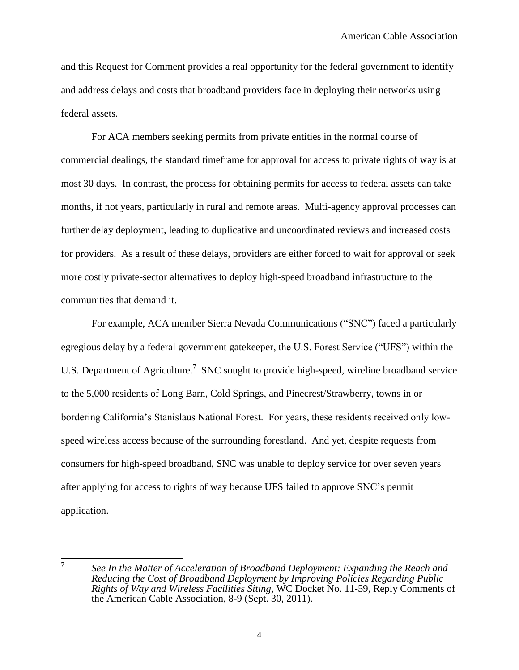and this Request for Comment provides a real opportunity for the federal government to identify and address delays and costs that broadband providers face in deploying their networks using federal assets.

For ACA members seeking permits from private entities in the normal course of commercial dealings, the standard timeframe for approval for access to private rights of way is at most 30 days. In contrast, the process for obtaining permits for access to federal assets can take months, if not years, particularly in rural and remote areas. Multi-agency approval processes can further delay deployment, leading to duplicative and uncoordinated reviews and increased costs for providers. As a result of these delays, providers are either forced to wait for approval or seek more costly private-sector alternatives to deploy high-speed broadband infrastructure to the communities that demand it.

For example, ACA member Sierra Nevada Communications ("SNC") faced a particularly egregious delay by a federal government gatekeeper, the U.S. Forest Service ("UFS") within the U.S. Department of Agriculture.<sup>7</sup> SNC sought to provide high-speed, wireline broadband service to the 5,000 residents of Long Barn, Cold Springs, and Pinecrest/Strawberry, towns in or bordering California's Stanislaus National Forest. For years, these residents received only lowspeed wireless access because of the surrounding forestland. And yet, despite requests from consumers for high-speed broadband, SNC was unable to deploy service for over seven years after applying for access to rights of way because UFS failed to approve SNC's permit application.

7

*See In the Matter of Acceleration of Broadband Deployment: Expanding the Reach and Reducing the Cost of Broadband Deployment by Improving Policies Regarding Public Rights of Way and Wireless Facilities Siting*, WC Docket No. 11-59, Reply Comments of the American Cable Association, 8-9 (Sept. 30, 2011).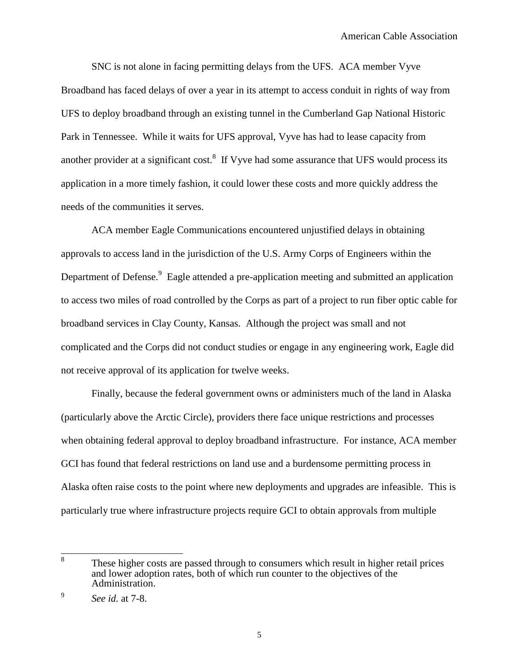SNC is not alone in facing permitting delays from the UFS. ACA member Vyve Broadband has faced delays of over a year in its attempt to access conduit in rights of way from UFS to deploy broadband through an existing tunnel in the Cumberland Gap National Historic Park in Tennessee. While it waits for UFS approval, Vyve has had to lease capacity from another provider at a significant cost. $8\,$  If Vyve had some assurance that UFS would process its application in a more timely fashion, it could lower these costs and more quickly address the needs of the communities it serves.

ACA member Eagle Communications encountered unjustified delays in obtaining approvals to access land in the jurisdiction of the U.S. Army Corps of Engineers within the Department of Defense.<sup>9</sup> Eagle attended a pre-application meeting and submitted an application to access two miles of road controlled by the Corps as part of a project to run fiber optic cable for broadband services in Clay County, Kansas. Although the project was small and not complicated and the Corps did not conduct studies or engage in any engineering work, Eagle did not receive approval of its application for twelve weeks.

Finally, because the federal government owns or administers much of the land in Alaska (particularly above the Arctic Circle), providers there face unique restrictions and processes when obtaining federal approval to deploy broadband infrastructure. For instance, ACA member GCI has found that federal restrictions on land use and a burdensome permitting process in Alaska often raise costs to the point where new deployments and upgrades are infeasible. This is particularly true where infrastructure projects require GCI to obtain approvals from multiple

 8 These higher costs are passed through to consumers which result in higher retail prices and lower adoption rates, both of which run counter to the objectives of the Administration.

<sup>9</sup> *See id.* at 7-8.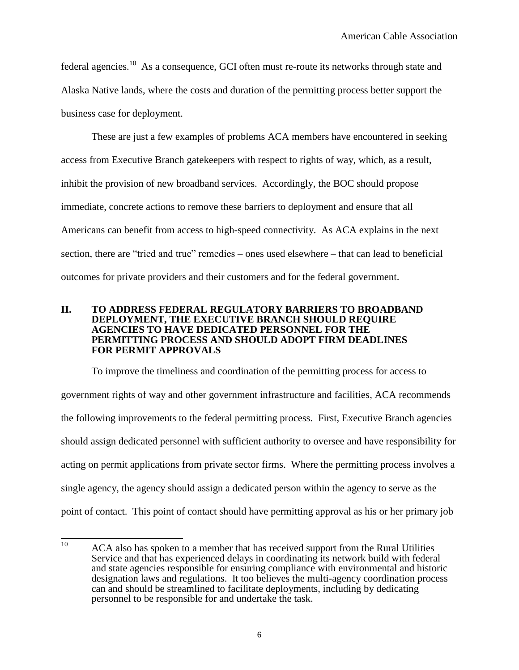federal agencies.<sup>10</sup> As a consequence, GCI often must re-route its networks through state and Alaska Native lands, where the costs and duration of the permitting process better support the business case for deployment.

These are just a few examples of problems ACA members have encountered in seeking access from Executive Branch gatekeepers with respect to rights of way, which, as a result, inhibit the provision of new broadband services. Accordingly, the BOC should propose immediate, concrete actions to remove these barriers to deployment and ensure that all Americans can benefit from access to high-speed connectivity. As ACA explains in the next section, there are "tried and true" remedies – ones used elsewhere – that can lead to beneficial outcomes for private providers and their customers and for the federal government.

#### **II. TO ADDRESS FEDERAL REGULATORY BARRIERS TO BROADBAND DEPLOYMENT, THE EXECUTIVE BRANCH SHOULD REQUIRE AGENCIES TO HAVE DEDICATED PERSONNEL FOR THE PERMITTING PROCESS AND SHOULD ADOPT FIRM DEADLINES FOR PERMIT APPROVALS**

To improve the timeliness and coordination of the permitting process for access to government rights of way and other government infrastructure and facilities, ACA recommends the following improvements to the federal permitting process. First, Executive Branch agencies should assign dedicated personnel with sufficient authority to oversee and have responsibility for acting on permit applications from private sector firms. Where the permitting process involves a single agency, the agency should assign a dedicated person within the agency to serve as the point of contact. This point of contact should have permitting approval as his or her primary job

 $10\,$ ACA also has spoken to a member that has received support from the Rural Utilities Service and that has experienced delays in coordinating its network build with federal and state agencies responsible for ensuring compliance with environmental and historic designation laws and regulations. It too believes the multi-agency coordination process can and should be streamlined to facilitate deployments, including by dedicating personnel to be responsible for and undertake the task.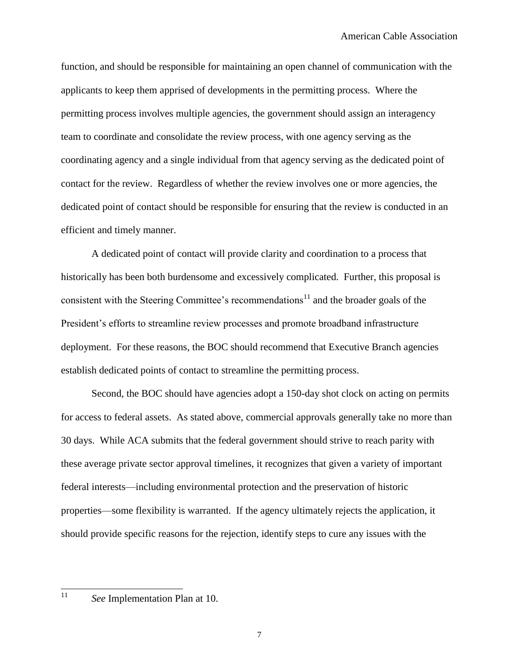function, and should be responsible for maintaining an open channel of communication with the applicants to keep them apprised of developments in the permitting process. Where the permitting process involves multiple agencies, the government should assign an interagency team to coordinate and consolidate the review process, with one agency serving as the coordinating agency and a single individual from that agency serving as the dedicated point of contact for the review. Regardless of whether the review involves one or more agencies, the dedicated point of contact should be responsible for ensuring that the review is conducted in an efficient and timely manner.

A dedicated point of contact will provide clarity and coordination to a process that historically has been both burdensome and excessively complicated. Further, this proposal is consistent with the Steering Committee's recommendations $11$  and the broader goals of the President's efforts to streamline review processes and promote broadband infrastructure deployment. For these reasons, the BOC should recommend that Executive Branch agencies establish dedicated points of contact to streamline the permitting process.

Second, the BOC should have agencies adopt a 150-day shot clock on acting on permits for access to federal assets. As stated above, commercial approvals generally take no more than 30 days. While ACA submits that the federal government should strive to reach parity with these average private sector approval timelines, it recognizes that given a variety of important federal interests—including environmental protection and the preservation of historic properties—some flexibility is warranted. If the agency ultimately rejects the application, it should provide specific reasons for the rejection, identify steps to cure any issues with the

 $11$ 

See Implementation Plan at 10.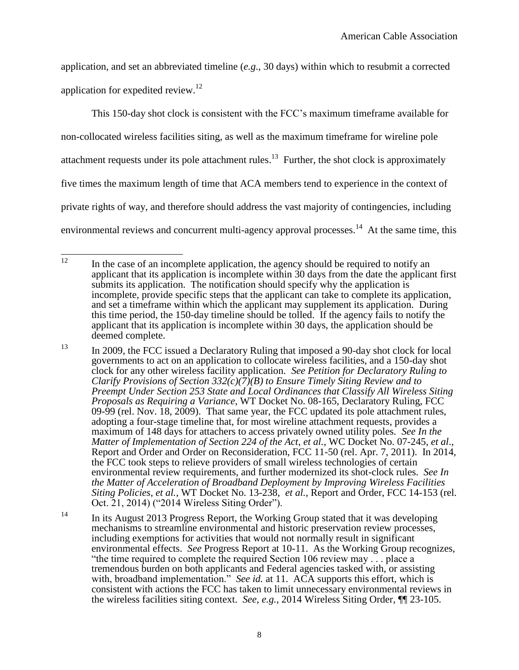application, and set an abbreviated timeline (*e.g*., 30 days) within which to resubmit a corrected application for expedited review.<sup>12</sup>

This 150-day shot clock is consistent with the FCC's maximum timeframe available for non-collocated wireless facilities siting, as well as the maximum timeframe for wireline pole attachment requests under its pole attachment rules.<sup>13</sup> Further, the shot clock is approximately five times the maximum length of time that ACA members tend to experience in the context of private rights of way, and therefore should address the vast majority of contingencies, including environmental reviews and concurrent multi-agency approval processes.<sup>14</sup> At the same time, this

<sup>13</sup> In 2009, the FCC issued a Declaratory Ruling that imposed a 90-day shot clock for local governments to act on an application to collocate wireless facilities, and a 150-day shot clock for any other wireless facility application. *See Petition for Declaratory Ruling to Clarify Provisions of Section 332(c)(7)(B) to Ensure Timely Siting Review and to Preempt Under Section 253 State and Local Ordinances that Classify All Wireless Siting Proposals as Requiring a Variance*, WT Docket No. 08-165, Declaratory Ruling, FCC 09-99 (rel. Nov. 18, 2009). That same year, the FCC updated its pole attachment rules, adopting a four-stage timeline that, for most wireline attachment requests, provides a maximum of 148 days for attachers to access privately owned utility poles. *See In the Matter of Implementation of Section 224 of the Act*, *et al.*, WC Docket No. 07-245, *et al*., Report and Order and Order on Reconsideration, FCC 11-50 (rel. Apr. 7, 2011). In 2014, the FCC took steps to relieve providers of small wireless technologies of certain environmental review requirements, and further modernized its shot-clock rules. *See In the Matter of Acceleration of Broadband Deployment by Improving Wireless Facilities Siting Policies*, *et al.*, WT Docket No. 13-238, *et al.*, Report and Order, FCC 14-153 (rel. Oct. 21, 2014) ("2014 Wireless Siting Order").

<sup>14</sup> In its August 2013 Progress Report, the Working Group stated that it was developing mechanisms to streamline environmental and historic preservation review processes, including exemptions for activities that would not normally result in significant environmental effects. *See* Progress Report at 10-11. As the Working Group recognizes, "the time required to complete the required Section 106 review may . . . place a tremendous burden on both applicants and Federal agencies tasked with, or assisting with, broadband implementation." *See id.* at 11. ACA supports this effort, which is consistent with actions the FCC has taken to limit unnecessary environmental reviews in the wireless facilities siting context. *See, e.g.*, 2014 Wireless Siting Order, ¶¶ 23-105.

 $12$ In the case of an incomplete application, the agency should be required to notify an applicant that its application is incomplete within 30 days from the date the applicant first submits its application. The notification should specify why the application is incomplete, provide specific steps that the applicant can take to complete its application, and set a timeframe within which the applicant may supplement its application. During this time period, the 150-day timeline should be tolled. If the agency fails to notify the applicant that its application is incomplete within 30 days, the application should be deemed complete.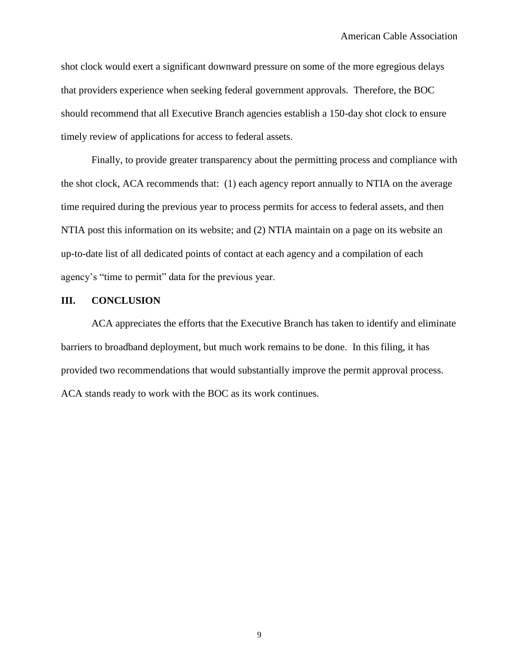shot clock would exert a significant downward pressure on some of the more egregious delays that providers experience when seeking federal government approvals. Therefore, the BOC should recommend that all Executive Branch agencies establish a 150-day shot clock to ensure timely review of applications for access to federal assets.

Finally, to provide greater transparency about the permitting process and compliance with the shot clock, ACA recommends that: (1) each agency report annually to NTIA on the average time required during the previous year to process permits for access to federal assets, and then NTIA post this information on its website; and (2) NTIA maintain on a page on its website an up-to-date list of all dedicated points of contact at each agency and a compilation of each agency's "time to permit" data for the previous year.

### **III. CONCLUSION**

ACA appreciates the efforts that the Executive Branch has taken to identify and eliminate barriers to broadband deployment, but much work remains to be done. In this filing, it has provided two recommendations that would substantially improve the permit approval process. ACA stands ready to work with the BOC as its work continues.